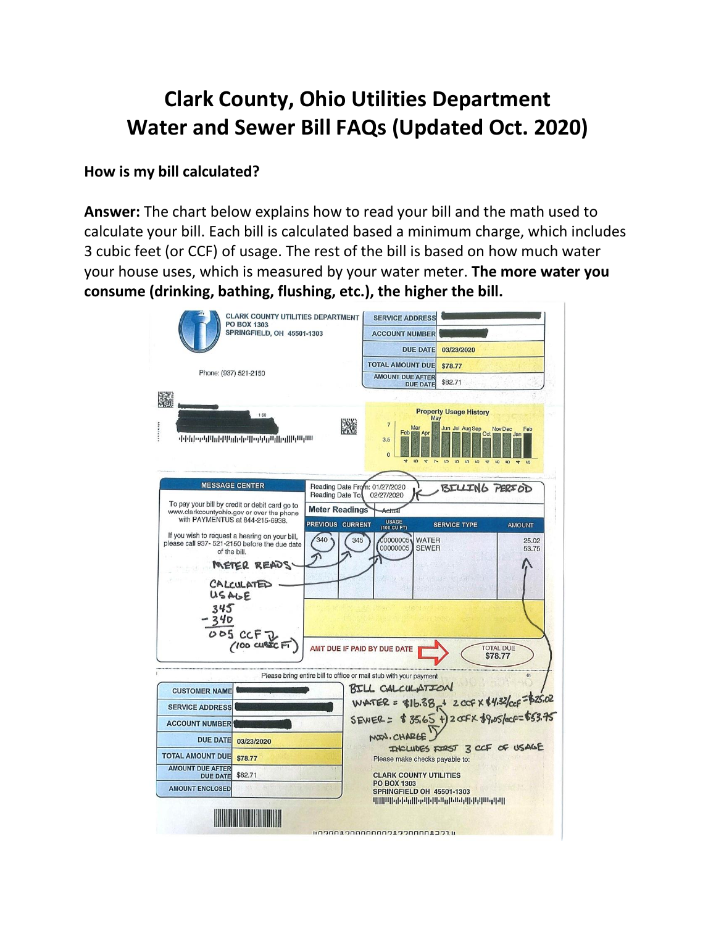# **Clark County, Ohio Utilities Department Water and Sewer Bill FAQs (Updated Oct. 2020)**

#### **How is my bill calculated?**

**Answer:** The chart below explains how to read your bill and the math used to calculate your bill. Each bill is calculated based a minimum charge, which includes 3 cubic feet (or CCF) of usage. The rest of the bill is based on how much water your house uses, which is measured by your water meter. **The more water you consume (drinking, bathing, flushing, etc.), the higher the bill.**

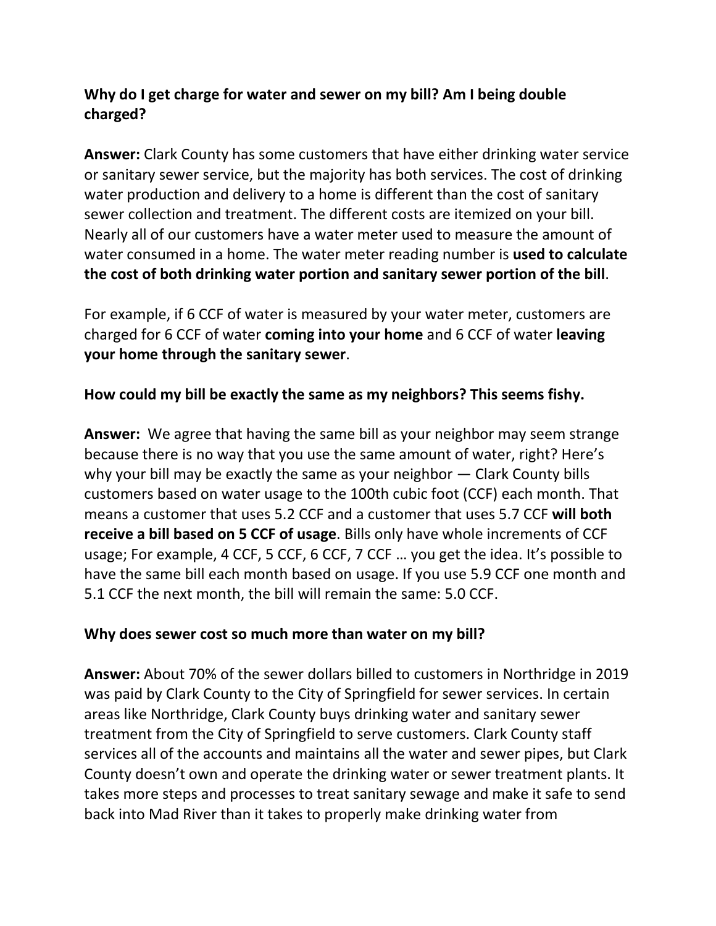# **Why do I get charge for water and sewer on my bill? Am I being double charged?**

**Answer:** Clark County has some customers that have either drinking water service or sanitary sewer service, but the majority has both services. The cost of drinking water production and delivery to a home is different than the cost of sanitary sewer collection and treatment. The different costs are itemized on your bill. Nearly all of our customers have a water meter used to measure the amount of water consumed in a home. The water meter reading number is **used to calculate the cost of both drinking water portion and sanitary sewer portion of the bill**.

For example, if 6 CCF of water is measured by your water meter, customers are charged for 6 CCF of water **coming into your home** and 6 CCF of water **leaving your home through the sanitary sewer**.

## **How could my bill be exactly the same as my neighbors? This seems fishy.**

**Answer:** We agree that having the same bill as your neighbor may seem strange because there is no way that you use the same amount of water, right? Here's why your bill may be exactly the same as your neighbor — Clark County bills customers based on water usage to the 100th cubic foot (CCF) each month. That means a customer that uses 5.2 CCF and a customer that uses 5.7 CCF **will both receive a bill based on 5 CCF of usage**. Bills only have whole increments of CCF usage; For example, 4 CCF, 5 CCF, 6 CCF, 7 CCF … you get the idea. It's possible to have the same bill each month based on usage. If you use 5.9 CCF one month and 5.1 CCF the next month, the bill will remain the same: 5.0 CCF.

### **Why does sewer cost so much more than water on my bill?**

**Answer:** About 70% of the sewer dollars billed to customers in Northridge in 2019 was paid by Clark County to the City of Springfield for sewer services. In certain areas like Northridge, Clark County buys drinking water and sanitary sewer treatment from the City of Springfield to serve customers. Clark County staff services all of the accounts and maintains all the water and sewer pipes, but Clark County doesn't own and operate the drinking water or sewer treatment plants. It takes more steps and processes to treat sanitary sewage and make it safe to send back into Mad River than it takes to properly make drinking water from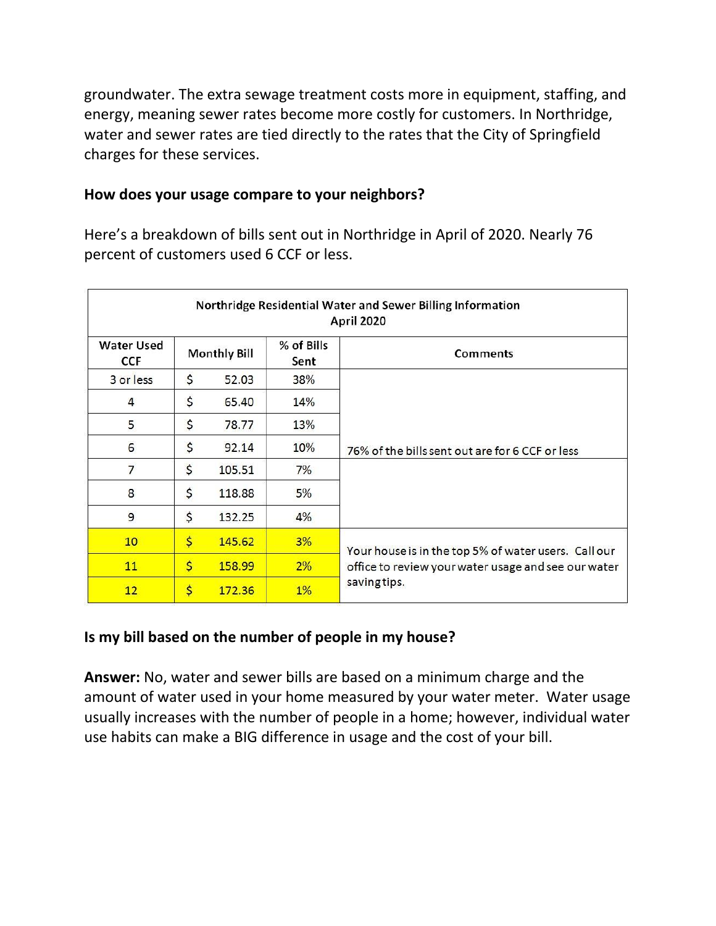groundwater. The extra sewage treatment costs more in equipment, staffing, and energy, meaning sewer rates become more costly for customers. In Northridge, water and sewer rates are tied directly to the rates that the City of Springfield charges for these services.

#### **How does your usage compare to your neighbors?**

Here's a breakdown of bills sent out in Northridge in April of 2020. Nearly 76 percent of customers used 6 CCF or less.

| Northridge Residential Water and Sewer Billing Information<br>April 2020 |                     |        |                    |                                                                                                                             |
|--------------------------------------------------------------------------|---------------------|--------|--------------------|-----------------------------------------------------------------------------------------------------------------------------|
| <b>Water Used</b><br><b>CCF</b>                                          | <b>Monthly Bill</b> |        | % of Bills<br>Sent | <b>Comments</b>                                                                                                             |
| 3 or less                                                                | \$                  | 52,03  | 38%                |                                                                                                                             |
| 4                                                                        | \$                  | 65.40  | 14%                |                                                                                                                             |
| 5                                                                        | \$                  | 78.77  | 13%                |                                                                                                                             |
| 6                                                                        | \$                  | 92.14  | 10%                | 76% of the bills sent out are for 6 CCF or less                                                                             |
| 7                                                                        | \$                  | 105.51 | 7%                 |                                                                                                                             |
| 8                                                                        | \$                  | 118.88 | 5%                 |                                                                                                                             |
| 9                                                                        | \$                  | 132.25 | 4%                 |                                                                                                                             |
| 10                                                                       | $\mathsf{S}$        | 145.62 | 3%                 | Your house is in the top 5% of water users. Call our<br>office to review your water usage and see our water<br>saving tips. |
| 11                                                                       | $\mathsf{S}$        | 158.99 | 2%                 |                                                                                                                             |
| 12                                                                       | \$                  | 172.36 | $1\%$              |                                                                                                                             |

### **Is my bill based on the number of people in my house?**

**Answer:** No, water and sewer bills are based on a minimum charge and the amount of water used in your home measured by your water meter. Water usage usually increases with the number of people in a home; however, individual water use habits can make a BIG difference in usage and the cost of your bill.